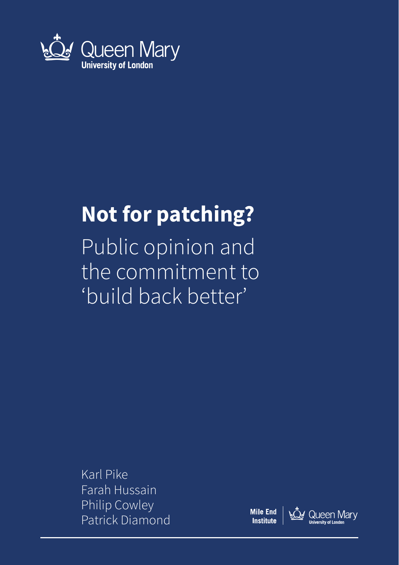

### **Not for patching?**

Public opinion and the commitment to 'build back better'

Karl Pike Farah Hussain Philip Cowley Patrick Diamond

**Mile End Institute** 

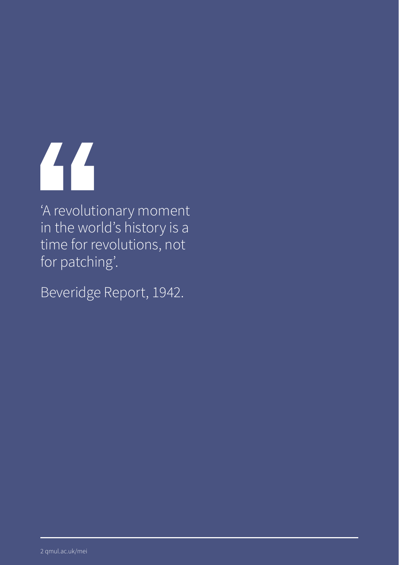# 66

'A revolutionary moment in the world's history is a time for revolutions, not for patching'.

Beveridge Report, 1942.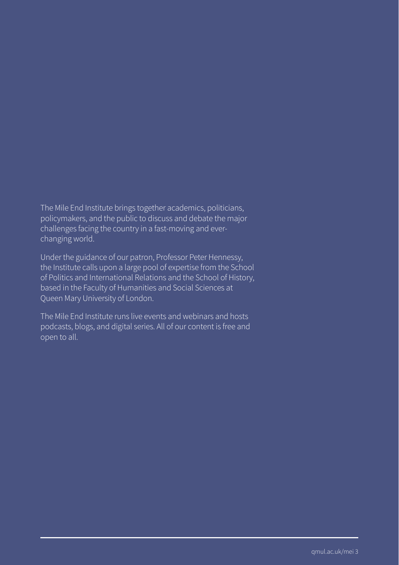The Mile End Institute brings together academics, politicians, policymakers, and the public to discuss and debate the major challenges facing the country in a fast-moving and everchanging world.

Under the guidance of our patron, Professor Peter Hennessy, the Institute calls upon a large pool of expertise from the School of Politics and International Relations and the School of History, based in the Faculty of Humanities and Social Sciences at Queen Mary University of London.

The Mile End Institute runs live events and webinars and hosts podcasts, blogs, and digital series. All of our content is free and open to all.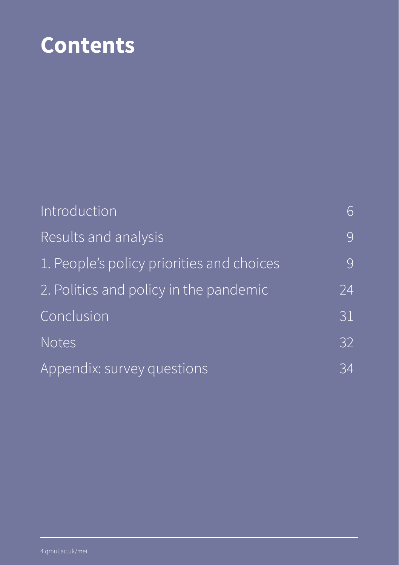# **Contents**

| Introduction                              | 6  |
|-------------------------------------------|----|
| Results and analysis                      | 9  |
| 1. People's policy priorities and choices | 9  |
| 2. Politics and policy in the pandemic    | 24 |
| Conclusion                                | 31 |
| <b>Notes</b>                              | 32 |
| Appendix: survey questions                | 34 |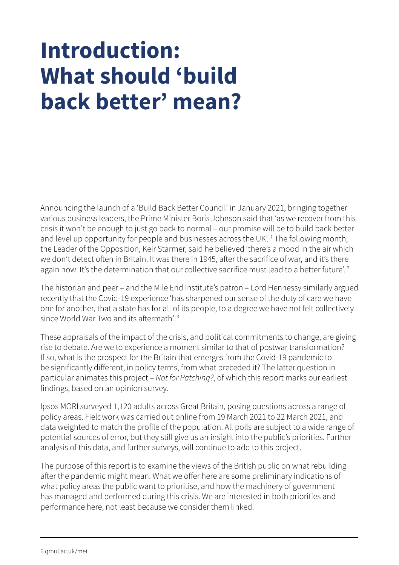# **Introduction: What should 'build back better' mean?**

Announcing the launch of a 'Build Back Better Council' in January 2021, bringing together various business leaders, the Prime Minister Boris Johnson said that 'as we recover from this crisis it won't be enough to just go back to normal – our promise will be to build back better and level up opportunity for people and businesses across the UK'.<sup>1</sup> The following month, the Leader of the Opposition, Keir Starmer, said he believed 'there's a mood in the air which we don't detect often in Britain. It was there in 1945, after the sacrifice of war, and it's there again now. It's the determination that our collective sacrifice must lead to a better future'.<sup>2</sup>

The historian and peer – and the Mile End Institute's patron – Lord Hennessy similarly argued recently that the Covid-19 experience 'has sharpened our sense of the duty of care we have one for another, that a state has for all of its people, to a degree we have not felt collectively since World War Two and its aftermath'<sup>3</sup>

These appraisals of the impact of the crisis, and political commitments to change, are giving rise to debate. Are we to experience a moment similar to that of postwar transformation? If so, what is the prospect for the Britain that emerges from the Covid-19 pandemic to be significantly different, in policy terms, from what preceded it? The latter question in particular animates this project – *Not for Patching?*, of which this report marks our earliest findings, based on an opinion survey.

Ipsos MORI surveyed 1,120 adults across Great Britain, posing questions across a range of policy areas. Fieldwork was carried out online from 19 March 2021 to 22 March 2021, and data weighted to match the profile of the population. All polls are subject to a wide range of potential sources of error, but they still give us an insight into the public's priorities. Further analysis of this data, and further surveys, will continue to add to this project.

The purpose of this report is to examine the views of the British public on what rebuilding after the pandemic might mean. What we offer here are some preliminary indications of what policy areas the public want to prioritise, and how the machinery of government has managed and performed during this crisis. We are interested in both priorities and performance here, not least because we consider them linked.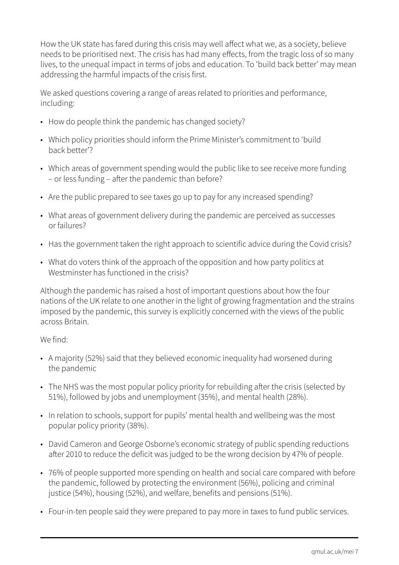How the UK state has fared during this crisis may well affect what we, as a society, believe needs to be prioritised next. The crisis has had many effects, from the tragic loss of so many lives, to the unequal impact in terms of jobs and education. To 'build back better' may mean addressing the harmful impacts of the crisis first.

We asked questions covering a range of areas related to priorities and performance, including:

- How do people think the pandemic has changed society?
- Which policy priorities should inform the Prime Minister's commitment to 'build back better'?
- Which areas of government spending would the public like to see receive more funding – or less funding – after the pandemic than before?
- Are the public prepared to see taxes go up to pay for any increased spending?
- What areas of government delivery during the pandemic are perceived as successes or failures?
- Has the government taken the right approach to scientific advice during the Covid crisis?
- What do voters think of the approach of the opposition and how party politics at Westminster has functioned in the crisis?

Although the pandemic has raised a host of important questions about how the four nations of the UK relate to one another in the light of growing fragmentation and the strains imposed by the pandemic, this survey is explicitly concerned with the views of the public across Britain.

#### We find:

- A majority (52%) said that they believed economic inequality had worsened during the pandemic
- The NHS was the most popular policy priority for rebuilding after the crisis (selected by 51%), followed by jobs and unemployment (35%), and mental health (28%).
- In relation to schools, support for pupils' mental health and wellbeing was the most popular policy priority (38%).
- David Cameron and George Osborne's economic strategy of public spending reductions after 2010 to reduce the deficit was judged to be the wrong decision by 47% of people.
- 76% of people supported more spending on health and social care compared with before the pandemic, followed by protecting the environment (56%), policing and criminal justice (54%), housing (52%), and welfare, benefits and pensions (51%).
- Four-in-ten people said they were prepared to pay more in taxes to fund public services.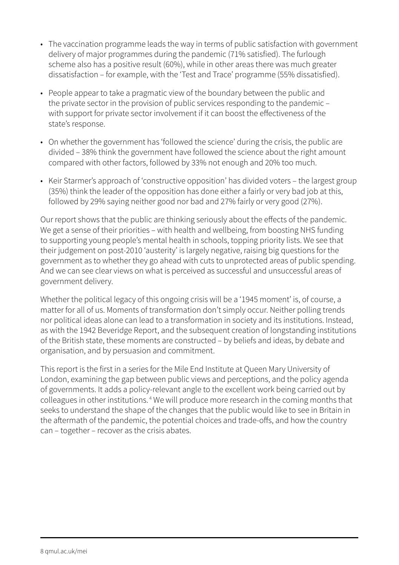- The vaccination programme leads the way in terms of public satisfaction with government delivery of major programmes during the pandemic (71% satisfied). The furlough scheme also has a positive result (60%), while in other areas there was much greater dissatisfaction – for example, with the 'Test and Trace' programme (55% dissatisfied).
- People appear to take a pragmatic view of the boundary between the public and the private sector in the provision of public services responding to the pandemic – with support for private sector involvement if it can boost the effectiveness of the state's response.
- On whether the government has 'followed the science' during the crisis, the public are divided – 38% think the government have followed the science about the right amount compared with other factors, followed by 33% not enough and 20% too much.
- Keir Starmer's approach of 'constructive opposition' has divided voters the largest group (35%) think the leader of the opposition has done either a fairly or very bad job at this, followed by 29% saying neither good nor bad and 27% fairly or very good (27%).

Our report shows that the public are thinking seriously about the effects of the pandemic. We get a sense of their priorities – with health and wellbeing, from boosting NHS funding to supporting young people's mental health in schools, topping priority lists. We see that their judgement on post-2010 'austerity' is largely negative, raising big questions for the government as to whether they go ahead with cuts to unprotected areas of public spending. And we can see clear views on what is perceived as successful and unsuccessful areas of government delivery.

Whether the political legacy of this ongoing crisis will be a '1945 moment' is, of course, a matter for all of us. Moments of transformation don't simply occur. Neither polling trends nor political ideas alone can lead to a transformation in society and its institutions. Instead, as with the 1942 Beveridge Report, and the subsequent creation of longstanding institutions of the British state, these moments are constructed – by beliefs and ideas, by debate and organisation, and by persuasion and commitment.

This report is the first in a series for the Mile End Institute at Queen Mary University of London, examining the gap between public views and perceptions, and the policy agenda of governments. It adds a policy-relevant angle to the excellent work being carried out by colleagues in other institutions. 4 We will produce more research in the coming months that seeks to understand the shape of the changes that the public would like to see in Britain in the aftermath of the pandemic, the potential choices and trade-offs, and how the country can – together – recover as the crisis abates.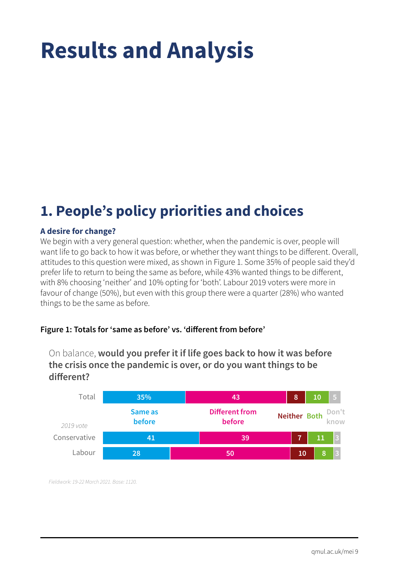# **Results and Analysis**

### **1. People's policy priorities and choices**

#### **A desire for change?**

We begin with a very general question: whether, when the pandemic is over, people will want life to go back to how it was before, or whether they want things to be different. Overall, attitudes to this question were mixed, as shown in Figure 1. Some 35% of people said they'd prefer life to return to being the same as before, while 43% wanted things to be different, with 8% choosing 'neither' and 10% opting for 'both'. Labour 2019 voters were more in favour of change (50%), but even with this group there were a quarter (28%) who wanted things to be the same as before.

#### **Figure 1: Totals for 'same as before' vs. 'different from before'**



On balance, **would you prefer it if life goes back to how it was before the crisis once the pandemic is over, or do you want things to be different?**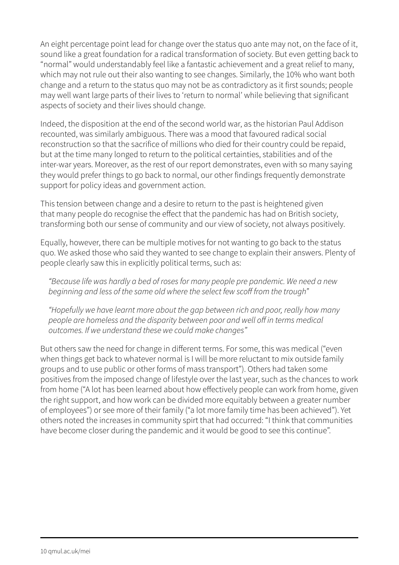An eight percentage point lead for change over the status quo ante may not, on the face of it, sound like a great foundation for a radical transformation of society. But even getting back to "normal" would understandably feel like a fantastic achievement and a great relief to many, which may not rule out their also wanting to see changes. Similarly, the 10% who want both change and a return to the status quo may not be as contradictory as it first sounds; people may well want large parts of their lives to 'return to normal' while believing that significant aspects of society and their lives should change.

Indeed, the disposition at the end of the second world war, as the historian Paul Addison recounted, was similarly ambiguous. There was a mood that favoured radical social reconstruction so that the sacrifice of millions who died for their country could be repaid, but at the time many longed to return to the political certainties, stabilities and of the inter-war years. Moreover, as the rest of our report demonstrates, even with so many saying they would prefer things to go back to normal, our other findings frequently demonstrate support for policy ideas and government action.

This tension between change and a desire to return to the past is heightened given that many people do recognise the effect that the pandemic has had on British society, transforming both our sense of community and our view of society, not always positively.

Equally, however, there can be multiple motives for not wanting to go back to the status quo. We asked those who said they wanted to see change to explain their answers. Plenty of people clearly saw this in explicitly political terms, such as:

*"Because life was hardly a bed of roses for many people pre pandemic. We need a new beginning and less of the same old where the select few scoff from the trough"*

*"Hopefully we have learnt more about the gap between rich and poor, really how many people are homeless and the disparity between poor and well off in terms medical outcomes. If we understand these we could make changes"*

But others saw the need for change in different terms. For some, this was medical ("even when things get back to whatever normal is I will be more reluctant to mix outside family groups and to use public or other forms of mass transport"). Others had taken some positives from the imposed change of lifestyle over the last year, such as the chances to work from home ("A lot has been learned about how effectively people can work from home, given the right support, and how work can be divided more equitably between a greater number of employees") or see more of their family ("a lot more family time has been achieved"). Yet others noted the increases in community spirt that had occurred: "I think that communities have become closer during the pandemic and it would be good to see this continue".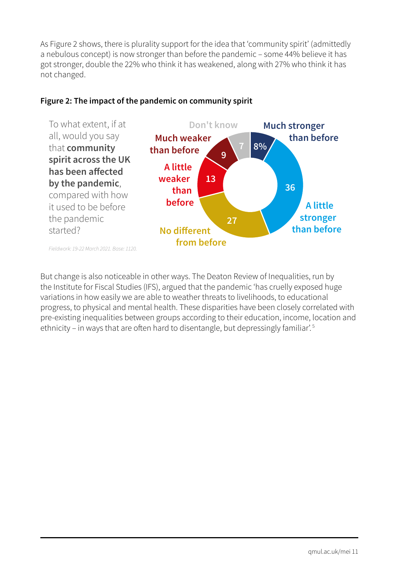As Figure 2 shows, there is plurality support for the idea that 'community spirit' (admittedly a nebulous concept) is now stronger than before the pandemic – some 44% believe it has got stronger, double the 22% who think it has weakened, along with 27% who think it has not changed.



#### **Figure 2: The impact of the pandemic on community spirit**

But change is also noticeable in other ways. The Deaton Review of Inequalities, run by the Institute for Fiscal Studies (IFS), argued that the pandemic 'has cruelly exposed huge variations in how easily we are able to weather threats to livelihoods, to educational progress, to physical and mental health. These disparities have been closely correlated with pre-existing inequalities between groups according to their education, income, location and ethnicity – in ways that are often hard to disentangle, but depressingly familiar'.<sup>5</sup>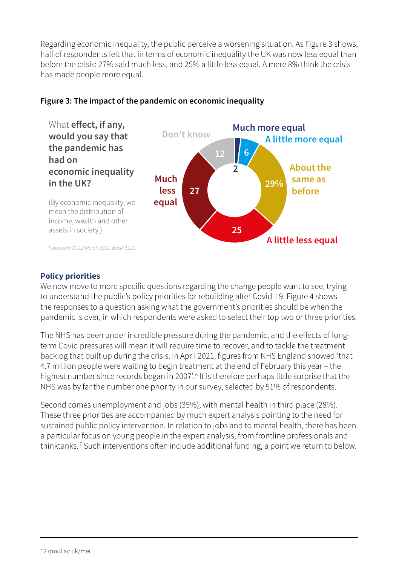Regarding economic inequality, the public perceive a worsening situation. As Figure 3 shows, half of respondents felt that in terms of economic inequality the UK was now less equal than before the crisis: 27% said much less, and 25% a little less equal. A mere 8% think the crisis has made people more equal.



#### **Figure 3: The impact of the pandemic on economic inequality**

**Policy priorities**

We now move to more specific questions regarding the change people want to see, trying to understand the public's policy priorities for rebuilding after Covid-19. Figure 4 shows the responses to a question asking what the government's priorities should be when the pandemic is over, in which respondents were asked to select their top two or three priorities.

The NHS has been under incredible pressure during the pandemic, and the effects of longterm Covid pressures will mean it will require time to recover, and to tackle the treatment backlog that built up during the crisis. In April 2021, figures from NHS England showed 'that 4.7 million people were waiting to begin treatment at the end of February this year – the highest number since records began in 2007'.<sup>6</sup> It is therefore perhaps little surprise that the NHS was by far the number one priority in our survey, selected by 51% of respondents.

Second comes unemployment and jobs (35%), with mental health in third place (28%). These three priorities are accompanied by much expert analysis pointing to the need for sustained public policy intervention. In relation to jobs and to mental health, there has been a particular focus on young people in the expert analysis, from frontline professionals and thinktanks. 7 Such interventions often include additional funding, a point we return to below.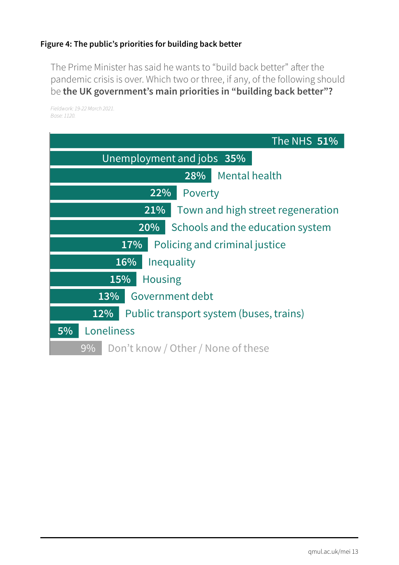#### **Figure 4: The public's priorities for building back better**

The Prime Minister has said he wants to "build back better" after the pandemic crisis is over. Which two or three, if any, of the following should be **the UK government's main priorities in "building back better"?**

| The NHS 51%                                       |  |  |
|---------------------------------------------------|--|--|
| Unemployment and jobs 35%                         |  |  |
| <b>Mental health</b><br>28%                       |  |  |
| 22%<br>Poverty                                    |  |  |
| Town and high street regeneration<br>21%          |  |  |
| 20%<br>Schools and the education system           |  |  |
| Policing and criminal justice<br>17%              |  |  |
| 16%<br>Inequality                                 |  |  |
| 15%<br><b>Housing</b>                             |  |  |
| Government debt<br>13%                            |  |  |
| Public transport system (buses, trains)<br>$12\%$ |  |  |
| Loneliness<br>5%                                  |  |  |
| Don't know / Other / None of these<br>$9\%$       |  |  |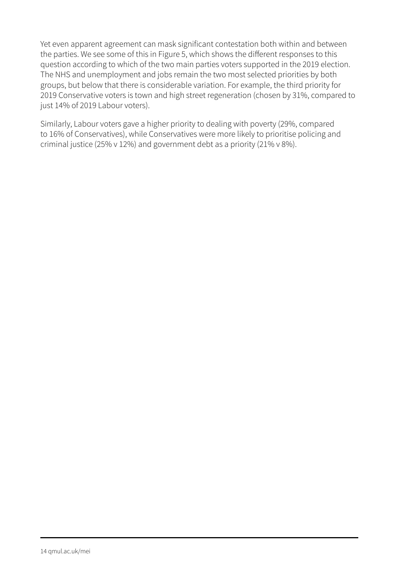Yet even apparent agreement can mask significant contestation both within and between the parties. We see some of this in Figure 5, which shows the different responses to this question according to which of the two main parties voters supported in the 2019 election. The NHS and unemployment and jobs remain the two most selected priorities by both groups, but below that there is considerable variation. For example, the third priority for 2019 Conservative voters is town and high street regeneration (chosen by 31%, compared to just 14% of 2019 Labour voters).

Similarly, Labour voters gave a higher priority to dealing with poverty (29%, compared to 16% of Conservatives), while Conservatives were more likely to prioritise policing and criminal justice (25% v 12%) and government debt as a priority (21% v 8%).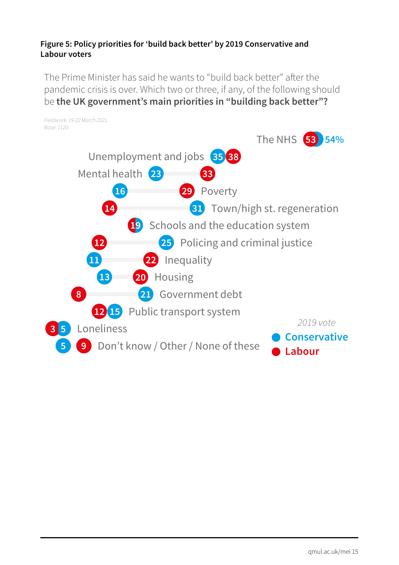#### **Figure 5: Policy priorities for 'build back better' by 2019 Conservative and Labour voters**

The Prime Minister has said he wants to "build back better" after the pandemic crisis is over. Which two or three, if any, of the following should be **the UK government's main priorities in "building back better"?**

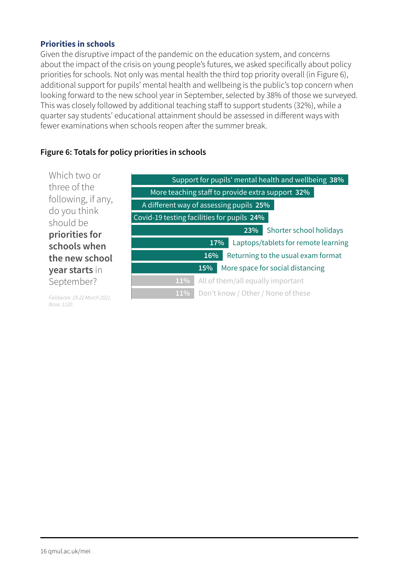#### **Priorities in schools**

Given the disruptive impact of the pandemic on the education system, and concerns about the impact of the crisis on young people's futures, we asked specifically about policy priorities for schools. Not only was mental health the third top priority overall (in Figure 6), additional support for pupils' mental health and wellbeing is the public's top concern when looking forward to the new school year in September, selected by 38% of those we surveyed. This was closely followed by additional teaching staff to support students (32%), while a quarter say students' educational attainment should be assessed in different ways with fewer examinations when schools reopen after the summer break.

#### **Figure 6: Totals for policy priorities in schools**

| Which two or                 |                                                     |
|------------------------------|-----------------------------------------------------|
|                              | Support for pupils' mental health and wellbeing 38% |
| three of the                 | More teaching staff to provide extra support 32%    |
| following, if any,           | A different way of assessing pupils 25%             |
| do you think<br>should be    | Covid-19 testing facilities for pupils 24%          |
| priorities for               | Shorter school holidays<br>23%                      |
| schools when                 | Laptops/tablets for remote learning<br>17%          |
| the new school               | Returning to the usual exam format<br>16%           |
| year starts in               | More space for social distancing<br>15%             |
| September?                   | All of them/all equally important<br>11%            |
| Eiglebugele 10.22 March 2021 | Don't know / Other / None of these<br>11%           |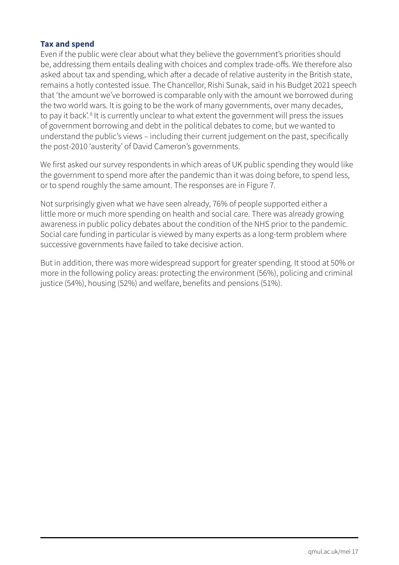#### **Tax and spend**

Even if the public were clear about what they believe the government's priorities should be, addressing them entails dealing with choices and complex trade-offs. We therefore also asked about tax and spending, which after a decade of relative austerity in the British state, remains a hotly contested issue. The Chancellor, Rishi Sunak, said in his Budget 2021 speech that 'the amount we've borrowed is comparable only with the amount we borrowed during the two world wars. It is going to be the work of many governments, over many decades, to pay it back'.<sup>8</sup> It is currently unclear to what extent the government will press the issues of government borrowing and debt in the political debates to come, but we wanted to understand the public's views – including their current judgement on the past, specifically the post-2010 'austerity' of David Cameron's governments.

We first asked our survey respondents in which areas of UK public spending they would like the government to spend more after the pandemic than it was doing before, to spend less, or to spend roughly the same amount. The responses are in Figure 7.

Not surprisingly given what we have seen already, 76% of people supported either a little more or much more spending on health and social care. There was already growing awareness in public policy debates about the condition of the NHS prior to the pandemic. Social care funding in particular is viewed by many experts as a long-term problem where successive governments have failed to take decisive action.

But in addition, there was more widespread support for greater spending. It stood at 50% or more in the following policy areas: protecting the environment (56%), policing and criminal justice (54%), housing (52%) and welfare, benefits and pensions (51%).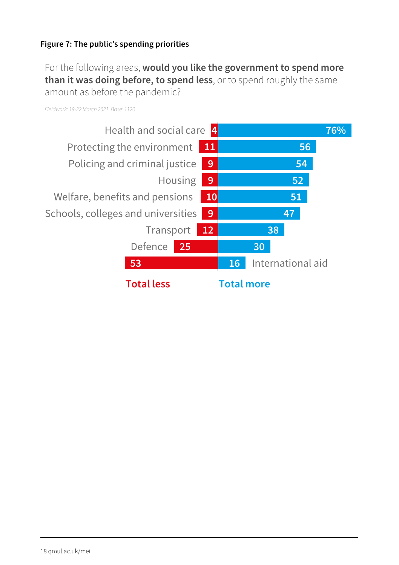#### **Figure 7: The public's spending priorities**

For the following areas, **would you like the government to spend more than it was doing before, to spend less**, or to spend roughly the same amount as before the pandemic?

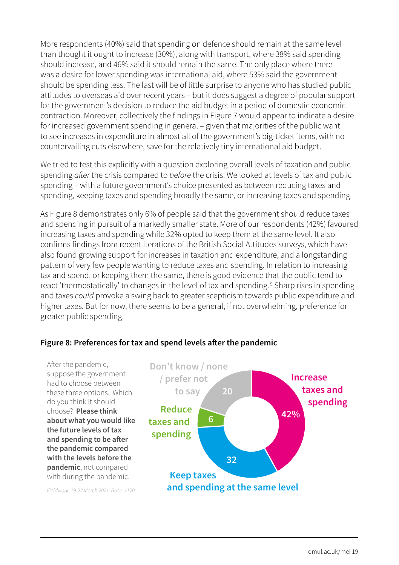More respondents (40%) said that spending on defence should remain at the same level than thought it ought to increase (30%), along with transport, where 38% said spending should increase, and 46% said it should remain the same. The only place where there was a desire for lower spending was international aid, where 53% said the government should be spending less. The last will be of little surprise to anyone who has studied public attitudes to overseas aid over recent years – but it does suggest a degree of popular support for the government's decision to reduce the aid budget in a period of domestic economic contraction. Moreover, collectively the findings in Figure 7 would appear to indicate a desire for increased government spending in general – given that majorities of the public want to see increases in expenditure in almost all of the government's big-ticket items, with no countervailing cuts elsewhere, save for the relatively tiny international aid budget.

We tried to test this explicitly with a question exploring overall levels of taxation and public spending *after* the crisis compared to *before* the crisis. We looked at levels of tax and public spending – with a future government's choice presented as between reducing taxes and spending, keeping taxes and spending broadly the same, or increasing taxes and spending.

As Figure 8 demonstrates only 6% of people said that the government should reduce taxes and spending in pursuit of a markedly smaller state. More of our respondents (42%) favoured increasing taxes and spending while 32% opted to keep them at the same level. It also confirms findings from recent iterations of the British Social Attitudes surveys, which have also found growing support for increases in taxation and expenditure, and a longstanding pattern of very few people wanting to reduce taxes and spending. In relation to increasing tax and spend, or keeping them the same, there is good evidence that the public tend to react 'thermostatically' to changes in the level of tax and spending. 9 Sharp rises in spending and taxes *could* provoke a swing back to greater scepticism towards public expenditure and higher taxes. But for now, there seems to be a general, if not overwhelming, preference for greater public spending.

#### **Figure 8: Preferences for tax and spend levels after the pandemic**

After the pandemic, suppose the government had to choose between these three options. Which do you think it should choose? **Please think about what you would like the future levels of tax and spending to be after the pandemic compared with the levels before the pandemic**, not compared with during the pandemic.

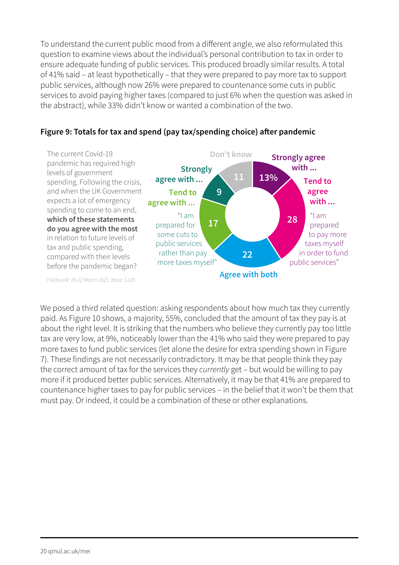To understand the current public mood from a different angle, we also reformulated this question to examine views about the individual's personal contribution to tax in order to ensure adequate funding of public services. This produced broadly similar results. A total of 41% said – at least hypothetically – that they were prepared to pay more tax to support public services, although now 26% were prepared to countenance some cuts in public services to avoid paying higher taxes (compared to just 6% when the question was asked in the abstract), while 33% didn't know or wanted a combination of the two.



#### **Figure 9: Totals for tax and spend (pay tax/spending choice) after pandemic**

We posed a third related question: asking respondents about how much tax they currently paid. As Figure 10 shows, a majority, 55%, concluded that the amount of tax they pay is at about the right level. It is striking that the numbers who believe they currently pay too little tax are very low, at 9%, noticeably lower than the 41% who said they were prepared to pay more taxes to fund public services (let alone the desire for extra spending shown in Figure 7). These findings are not necessarily contradictory. It may be that people think they pay the correct amount of tax for the services they *currently* get – but would be willing to pay more if it produced better public services. Alternatively, it may be that 41% are prepared to countenance higher taxes to pay for public services – in the belief that it won't be them that must pay. Or indeed, it could be a combination of these or other explanations.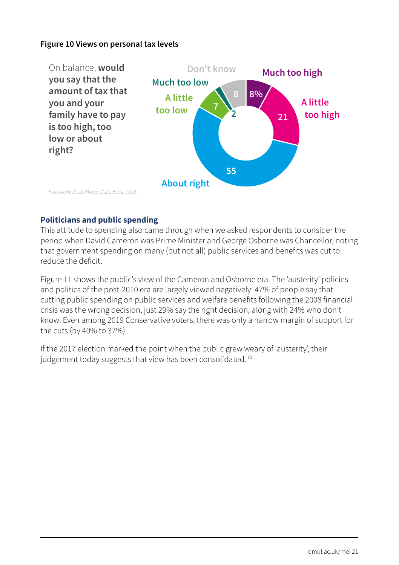#### **Figure 10 Views on personal tax levels**



#### **Politicians and public spending**

This attitude to spending also came through when we asked respondents to consider the period when David Cameron was Prime Minister and George Osborne was Chancellor, noting that government spending on many (but not all) public services and benefits was cut to reduce the deficit.

Figure 11 shows the public's view of the Cameron and Osborne era. The 'austerity' policies and politics of the post-2010 era are largely viewed negatively: 47% of people say that cutting public spending on public services and welfare benefits following the 2008 financial crisis was the wrong decision, just 29% say the right decision, along with 24% who don't know. Even among 2019 Conservative voters, there was only a narrow margin of support for the cuts (by 40% to 37%).

If the 2017 election marked the point when the public grew weary of 'austerity', their judgement today suggests that view has been consolidated.<sup>10</sup>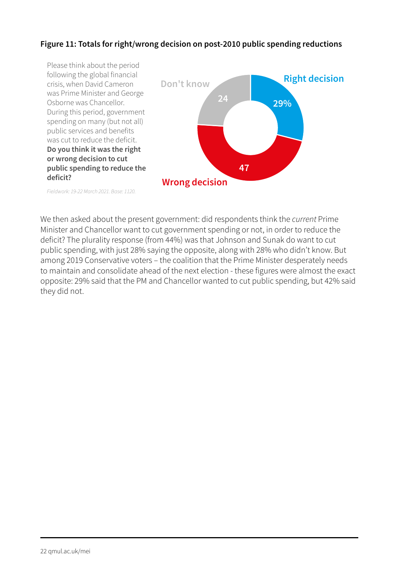#### **Figure 11: Totals for right/wrong decision on post-2010 public spending reductions**



*Fieldwork: 19-22 March 2021. Base: 1120.*

We then asked about the present government: did respondents think the *current* Prime Minister and Chancellor want to cut government spending or not, in order to reduce the deficit? The plurality response (from 44%) was that Johnson and Sunak do want to cut public spending, with just 28% saying the opposite, along with 28% who didn't know. But among 2019 Conservative voters – the coalition that the Prime Minister desperately needs to maintain and consolidate ahead of the next election - these figures were almost the exact opposite: 29% said that the PM and Chancellor wanted to cut public spending, but 42% said they did not.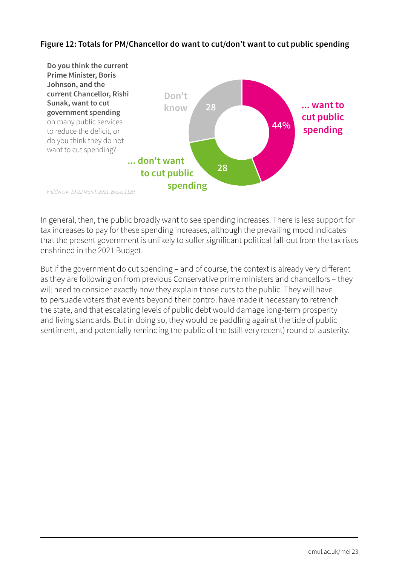#### **Figure 12: Totals for PM/Chancellor do want to cut/don't want to cut public spending**



In general, then, the public broadly want to see spending increases. There is less support for tax increases to pay for these spending increases, although the prevailing mood indicates that the present government is unlikely to suffer significant political fall-out from the tax rises enshrined in the 2021 Budget.

But if the government do cut spending – and of course, the context is already very different as they are following on from previous Conservative prime ministers and chancellors – they will need to consider exactly how they explain those cuts to the public. They will have to persuade voters that events beyond their control have made it necessary to retrench the state, and that escalating levels of public debt would damage long-term prosperity and living standards. But in doing so, they would be paddling against the tide of public sentiment, and potentially reminding the public of the (still very recent) round of austerity.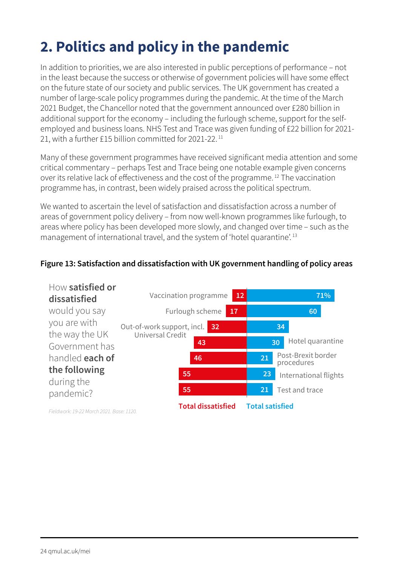### **2. Politics and policy in the pandemic**

In addition to priorities, we are also interested in public perceptions of performance – not in the least because the success or otherwise of government policies will have some effect on the future state of our society and public services. The UK government has created a number of large-scale policy programmes during the pandemic. At the time of the March 2021 Budget, the Chancellor noted that the government announced over £280 billion in additional support for the economy – including the furlough scheme, support for the selfemployed and business loans. NHS Test and Trace was given funding of £22 billion for 2021- 21, with a further £15 billion committed for 2021-22. <sup>11</sup>

Many of these government programmes have received significant media attention and some critical commentary – perhaps Test and Trace being one notable example given concerns over its relative lack of effectiveness and the cost of the programme. 12 The vaccination programme has, in contrast, been widely praised across the political spectrum.

We wanted to ascertain the level of satisfaction and dissatisfaction across a number of areas of government policy delivery – from now well-known programmes like furlough, to areas where policy has been developed more slowly, and changed over time – such as the management of international travel, and the system of 'hotel quarantine'. 13

#### **Figure 13: Satisfaction and dissatisfaction with UK government handling of policy areas**

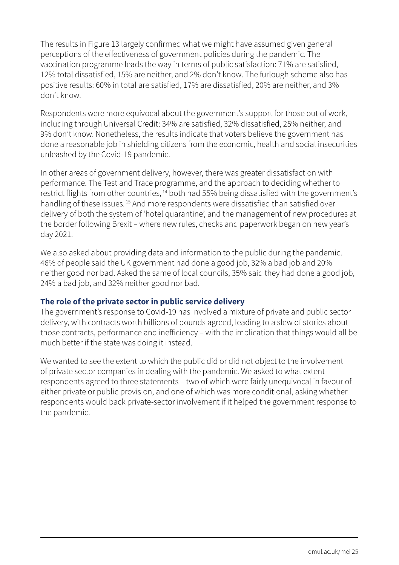The results in Figure 13 largely confirmed what we might have assumed given general perceptions of the effectiveness of government policies during the pandemic. The vaccination programme leads the way in terms of public satisfaction: 71% are satisfied, 12% total dissatisfied, 15% are neither, and 2% don't know. The furlough scheme also has positive results: 60% in total are satisfied, 17% are dissatisfied, 20% are neither, and 3% don't know.

Respondents were more equivocal about the government's support for those out of work, including through Universal Credit: 34% are satisfied, 32% dissatisfied, 25% neither, and 9% don't know. Nonetheless, the results indicate that voters believe the government has done a reasonable job in shielding citizens from the economic, health and social insecurities unleashed by the Covid-19 pandemic.

In other areas of government delivery, however, there was greater dissatisfaction with performance. The Test and Trace programme, and the approach to deciding whether to restrict flights from other countries, <sup>14</sup> both had 55% being dissatisfied with the government's handling of these issues.<sup>15</sup> And more respondents were dissatisfied than satisfied over delivery of both the system of 'hotel quarantine', and the management of new procedures at the border following Brexit – where new rules, checks and paperwork began on new year's day 2021.

We also asked about providing data and information to the public during the pandemic. 46% of people said the UK government had done a good job, 32% a bad job and 20% neither good nor bad. Asked the same of local councils, 35% said they had done a good job, 24% a bad job, and 32% neither good nor bad.

#### **The role of the private sector in public service delivery**

The government's response to Covid-19 has involved a mixture of private and public sector delivery, with contracts worth billions of pounds agreed, leading to a slew of stories about those contracts, performance and inefficiency – with the implication that things would all be much better if the state was doing it instead.

We wanted to see the extent to which the public did or did not object to the involvement of private sector companies in dealing with the pandemic. We asked to what extent respondents agreed to three statements – two of which were fairly unequivocal in favour of either private or public provision, and one of which was more conditional, asking whether respondents would back private-sector involvement if it helped the government response to the pandemic.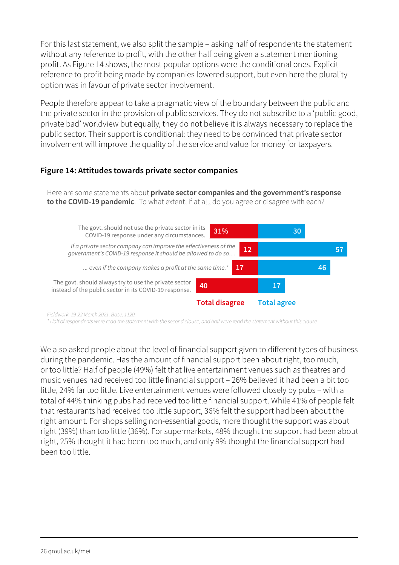For this last statement, we also split the sample – asking half of respondents the statement without any reference to profit, with the other half being given a statement mentioning profit. As Figure 14 shows, the most popular options were the conditional ones. Explicit reference to profit being made by companies lowered support, but even here the plurality option was in favour of private sector involvement.

People therefore appear to take a pragmatic view of the boundary between the public and the private sector in the provision of public services. They do not subscribe to a 'public good, private bad' worldview but equally, they do not believe it is always necessary to replace the public sector. Their support is conditional: they need to be convinced that private sector involvement will improve the quality of the service and value for money for taxpayers.

#### **Figure 14: Attitudes towards private sector companies**

Here are some statements about **private sector companies and the government's response to the COVID-19 pandemic**. To what extent, if at all, do you agree or disagree with each?



*Fieldwork: 19-22 March 2021. Base: 1120.*

*\* Half of respondents were read the statement with the second clause, and half were read the statement without this clause.*

We also asked people about the level of financial support given to different types of business during the pandemic. Has the amount of financial support been about right, too much, or too little? Half of people (49%) felt that live entertainment venues such as theatres and music venues had received too little financial support – 26% believed it had been a bit too little, 24% far too little. Live entertainment venues were followed closely by pubs – with a total of 44% thinking pubs had received too little financial support. While 41% of people felt that restaurants had received too little support, 36% felt the support had been about the right amount. For shops selling non-essential goods, more thought the support was about right (39%) than too little (36%). For supermarkets, 48% thought the support had been about right, 25% thought it had been too much, and only 9% thought the financial support had been too little.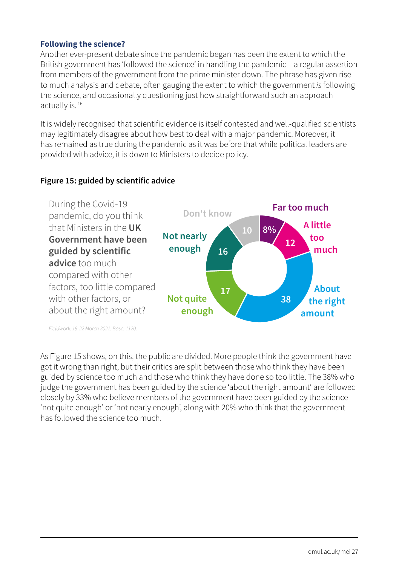#### **Following the science?**

Another ever-present debate since the pandemic began has been the extent to which the British government has 'followed the science' in handling the pandemic – a regular assertion from members of the government from the prime minister down. The phrase has given rise to much analysis and debate, often gauging the extent to which the government *is* following the science, and occasionally questioning just how straightforward such an approach actually is. 16

It is widely recognised that scientific evidence is itself contested and well-qualified scientists may legitimately disagree about how best to deal with a major pandemic. Moreover, it has remained as true during the pandemic as it was before that while political leaders are provided with advice, it is down to Ministers to decide policy.

#### **Figure 15: guided by scientific advice**



*Fieldwork: 19-22 March 2021. Base: 1120.*

As Figure 15 shows, on this, the public are divided. More people think the government have got it wrong than right, but their critics are split between those who think they have been guided by science too much and those who think they have done so too little. The 38% who judge the government has been guided by the science 'about the right amount' are followed closely by 33% who believe members of the government have been guided by the science 'not quite enough' or 'not nearly enough', along with 20% who think that the government has followed the science too much.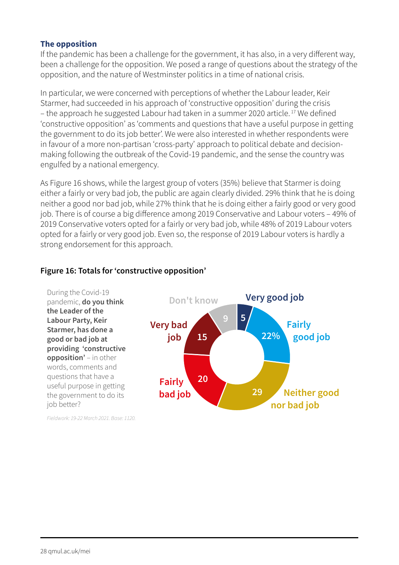#### **The opposition**

If the pandemic has been a challenge for the government, it has also, in a very different way, been a challenge for the opposition. We posed a range of questions about the strategy of the opposition, and the nature of Westminster politics in a time of national crisis.

In particular, we were concerned with perceptions of whether the Labour leader, Keir Starmer, had succeeded in his approach of 'constructive opposition' during the crisis – the approach he suggested Labour had taken in a summer 2020 article. 17 We defined 'constructive opposition' as 'comments and questions that have a useful purpose in getting the government to do its job better'. We were also interested in whether respondents were in favour of a more non-partisan 'cross-party' approach to political debate and decisionmaking following the outbreak of the Covid-19 pandemic, and the sense the country was engulfed by a national emergency.

As Figure 16 shows, while the largest group of voters (35%) believe that Starmer is doing either a fairly or very bad job, the public are again clearly divided. 29% think that he is doing neither a good nor bad job, while 27% think that he is doing either a fairly good or very good job. There is of course a big difference among 2019 Conservative and Labour voters – 49% of 2019 Conservative voters opted for a fairly or very bad job, while 48% of 2019 Labour voters opted for a fairly or very good job. Even so, the response of 2019 Labour voters is hardly a strong endorsement for this approach.

#### **Figure 16: Totals for 'constructive opposition'**

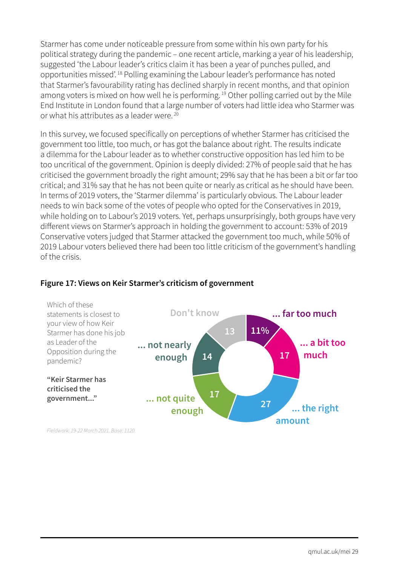Starmer has come under noticeable pressure from some within his own party for his political strategy during the pandemic – one recent article, marking a year of his leadership, suggested 'the Labour leader's critics claim it has been a year of punches pulled, and opportunities missed'. 18 Polling examining the Labour leader's performance has noted that Starmer's favourability rating has declined sharply in recent months, and that opinion among voters is mixed on how well he is performing.<sup>19</sup> Other polling carried out by the Mile End Institute in London found that a large number of voters had little idea who Starmer was or what his attributes as a leader were. 20

In this survey, we focused specifically on perceptions of whether Starmer has criticised the government too little, too much, or has got the balance about right. The results indicate a dilemma for the Labour leader as to whether constructive opposition has led him to be too uncritical of the government. Opinion is deeply divided: 27% of people said that he has criticised the government broadly the right amount; 29% say that he has been a bit or far too critical; and 31% say that he has not been quite or nearly as critical as he should have been. In terms of 2019 voters, the 'Starmer dilemma' is particularly obvious. The Labour leader needs to win back some of the votes of people who opted for the Conservatives in 2019, while holding on to Labour's 2019 voters. Yet, perhaps unsurprisingly, both groups have very different views on Starmer's approach in holding the government to account: 53% of 2019 Conservative voters judged that Starmer attacked the government too much, while 50% of 2019 Labour voters believed there had been too little criticism of the government's handling of the crisis.



#### **Figure 17: Views on Keir Starmer's criticism of government**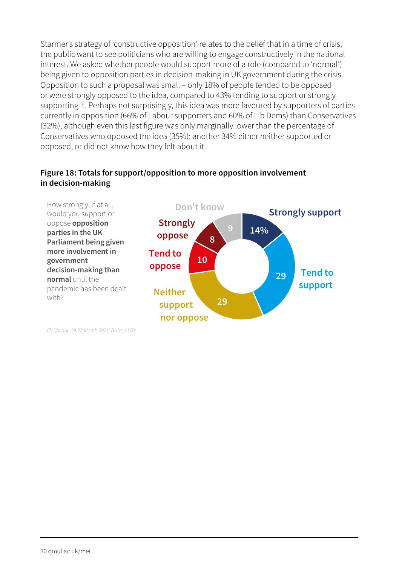Starmer's strategy of 'constructive opposition' relates to the belief that in a time of crisis, the public want to see politicians who are willing to engage constructively in the national interest. We asked whether people would support more of a role (compared to 'normal') being given to opposition parties in decision-making in UK government during the crisis. Opposition to such a proposal was small – only 18% of people tended to be opposed or were strongly opposed to the idea, compared to 43% tending to support or strongly supporting it. Perhaps not surprisingly, this idea was more favoured by supporters of parties currently in opposition (66% of Labour supporters and 60% of Lib Dems) than Conservatives (32%), although even this last figure was only marginally lower than the percentage of Conservatives who opposed the idea (35%); another 34% either neither supported or opposed, or did not know how they felt about it.

#### **Figure 18: Totals for support/opposition to more opposition involvement in decision-making**

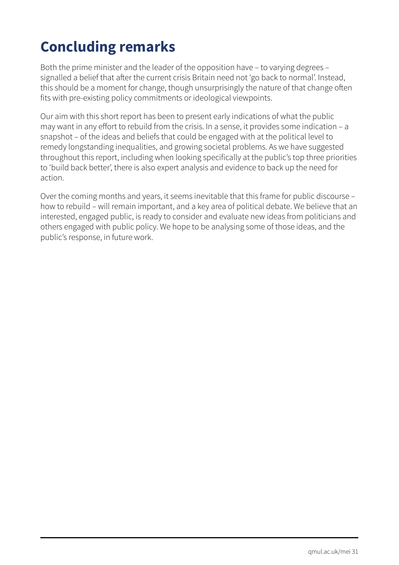### **Concluding remarks**

Both the prime minister and the leader of the opposition have – to varying degrees – signalled a belief that after the current crisis Britain need not 'go back to normal'. Instead, this should be a moment for change, though unsurprisingly the nature of that change often fits with pre-existing policy commitments or ideological viewpoints.

Our aim with this short report has been to present early indications of what the public may want in any effort to rebuild from the crisis. In a sense, it provides some indication – a snapshot – of the ideas and beliefs that could be engaged with at the political level to remedy longstanding inequalities, and growing societal problems. As we have suggested throughout this report, including when looking specifically at the public's top three priorities to 'build back better', there is also expert analysis and evidence to back up the need for action.

Over the coming months and years, it seems inevitable that this frame for public discourse – how to rebuild – will remain important, and a key area of political debate. We believe that an interested, engaged public, is ready to consider and evaluate new ideas from politicians and others engaged with public policy. We hope to be analysing some of those ideas, and the public's response, in future work.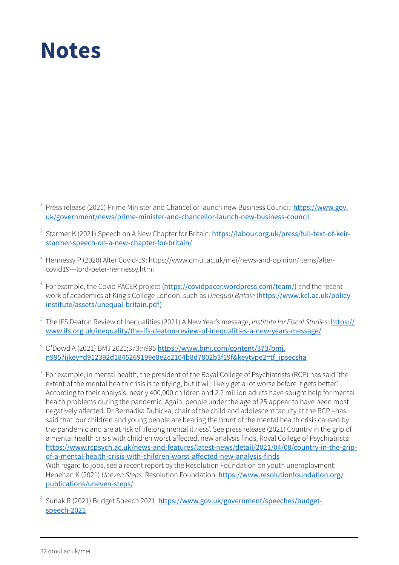### **Notes**

- $1$  Press release (2021) Prime Minister and Chancellor launch new Business Council: [https://www.gov.](https://www.gov.uk/government/news/prime-minister-and-chancellor-launch-new-business-council) [uk/government/news/prime-minister-and-chancellor-launch-new-business-council](https://www.gov.uk/government/news/prime-minister-and-chancellor-launch-new-business-council)
- <sup>2</sup> Starmer K (2021) Speech on A New Chapter for Britain: [https://labour.org.uk/press/full-text-of-keir](https://labour.org.uk/press/full-text-of-keir-starmer-speech-on-a-new-chapter-for-britain/)[starmer-speech-on-a-new-chapter-for-britain/](https://labour.org.uk/press/full-text-of-keir-starmer-speech-on-a-new-chapter-for-britain/)
- <sup>3</sup> Hennessy P (2020) After Covid-19: https://www.qmul.ac.uk/mei/news-and-opinion/items/aftercovid19---lord-peter-hennessy.html
- <sup>4</sup> For example, the Covid PACER project ([https://covidpacer.wordpress.com/team/\)](https://covidpacer.wordpress.com/team/)) and the recent work of academics at King's College London, such as *Unequal Britain* ([https://www.kcl.ac.uk/policy](https://www.kcl.ac.uk/policy-institute/assets/unequal-britain.pdf))[institute/assets/unequal-britain.pdf\)](https://www.kcl.ac.uk/policy-institute/assets/unequal-britain.pdf))
- <sup>5</sup> The IFS Deaton Review of Inequalities (2021) A New Year's message, *Institute for Fiscal Studies*: [https://](https://www.ifs.org.uk/inequality/the-ifs-deaton-review-of-inequalities-a-new-years-message/) [www.ifs.org.uk/inequality/the-ifs-deaton-review-of-inequalities-a-new-years-message/](https://www.ifs.org.uk/inequality/the-ifs-deaton-review-of-inequalities-a-new-years-message/)
- $6$  O'Dowd A (2021) BMJ 2021:373:n995 [https://www.bmj.com/content/373/bmj.](https://www.bmj.com/content/373/bmj.n995?ijkey=d912392d1845269199e8e2c2104b8d7802b3f19f&keytype2=tf_ipsecsha) [n995?ijkey=d912392d1845269199e8e2c2104b8d7802b3f19f&keytype2=tf\\_ipsecsha](https://www.bmj.com/content/373/bmj.n995?ijkey=d912392d1845269199e8e2c2104b8d7802b3f19f&keytype2=tf_ipsecsha)
- $^7$  For example, in mental health, the president of the Royal College of Psychiatrists (RCP) has said 'the extent of the mental health crisis is terrifying, but it will likely get a lot worse before it gets better'. According to their analysis, nearly 400,000 children and 2.2 million adults have sought help for mental health problems during the pandemic. Again, people under the age of 25 appear to have been most negatively affected. Dr Bernadka Dubicka, chair of the child and adolescent faculty at the RCP –has said that 'our children and young people are bearing the brunt of the mental health crisis caused by the pandemic and are at risk of lifelong mental illness'. See press release (2021) Country in the grip of a mental health crisis with children worst affected, new analysis finds, Royal College of Psychiatrists: [https://www.rcpsych.ac.uk/news-and-features/latest-news/detail/2021/04/08/country-in-the-grip](https://www.rcpsych.ac.uk/news-and-features/latest-news/detail/2021/04/08/country-in-the-grip-of-a-mental-health-crisis-with-children-worst-affected-new-analysis-finds)[of-a-mental-health-crisis-with-children-worst-affected-new-analysis-finds](https://www.rcpsych.ac.uk/news-and-features/latest-news/detail/2021/04/08/country-in-the-grip-of-a-mental-health-crisis-with-children-worst-affected-new-analysis-finds) With regard to jobs, see a recent report by the Resolution Foundation on youth unemployment: Henehan K (2021) *Uneven Steps*. Resolution Foundation: [https://www.resolutionfoundation.org/](https://www.resolutionfoundation.org/publications/uneven-steps/) [publications/uneven-steps/](https://www.resolutionfoundation.org/publications/uneven-steps/)
- Sunak R (2021) Budget Speech 2021: [https://www.gov.uk/government/speeches/budget](https://www.gov.uk/government/speeches/budget-speech-2021)[speech-2021](https://www.gov.uk/government/speeches/budget-speech-2021)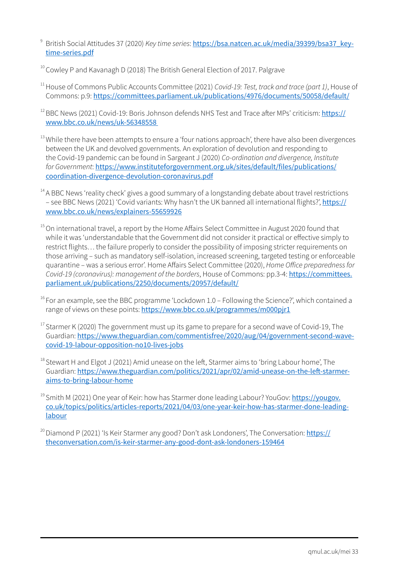<sup>9</sup> British Social Attitudes 37 (2020) *Key time series*: [https://bsa.natcen.ac.uk/media/39399/bsa37\\_key](https://bsa.natcen.ac.uk/media/39399/bsa37_key-time-series.pdf)[time-series.pdf](https://bsa.natcen.ac.uk/media/39399/bsa37_key-time-series.pdf)

<sup>10</sup> Cowley P and Kavanagh D (2018) The British General Election of 2017. Palgrave

<sup>11</sup> House of Commons Public Accounts Committee (2021) *Covid-19: Test, track and trace (part 1)*, House of Commons: p.9: <https://committees.parliament.uk/publications/4976/documents/50058/default/>

<sup>12</sup> BBC News (2021) Covid-19: Boris Johnson defends NHS Test and Trace after MPs' criticism: [https://](https://www.bbc.co.uk/news/uk-56348558) [www.bbc.co.uk/news/uk-56348558](https://www.bbc.co.uk/news/uk-56348558) 

<sup>13</sup> While there have been attempts to ensure a 'four nations approach', there have also been divergences between the UK and devolved governments. An exploration of devolution and responding to the Covid-19 pandemic can be found in Sargeant J (2020) *Co-ordination and divergence, Institute for Government*: [https://www.instituteforgovernment.org.uk/sites/default/files/publications/](https://www.instituteforgovernment.org.uk/sites/default/files/publications/coordination-divergence-d) [coordination-divergence-devolution-coronavirus.pdf](https://www.instituteforgovernment.org.uk/sites/default/files/publications/coordination-divergence-d)

- $14$  A BBC News 'reality check' gives a good summary of a longstanding debate about travel restrictions – see BBC News (2021) 'Covid variants: Why hasn't the UK banned all international flights?', [https://](https://www.bbc.co.uk/news/explainers-55659926) [www.bbc.co.uk/news/explainers-55659926](https://www.bbc.co.uk/news/explainers-55659926)
- <sup>15</sup> On international travel, a report by the Home Affairs Select Committee in August 2020 found that while it was 'understandable that the Government did not consider it practical or effective simply to restrict flights… the failure properly to consider the possibility of imposing stricter requirements on those arriving – such as mandatory self-isolation, increased screening, targeted testing or enforceable quarantine – was a serious error'. Home Affairs Select Committee (2020), *Home Office preparedness for Covid-19 (coronavirus): management of the borders*, House of Commons: pp.3-4: [https://committees.](https://committees.parliament.uk/publications/2250/documents/20957/default/) [parliament.uk/publications/2250/documents/20957/default/](https://committees.parliament.uk/publications/2250/documents/20957/default/)
- $16$  For an example, see the BBC programme 'Lockdown 1.0 Following the Science?', which contained a range of views on these points: <https://www.bbc.co.uk/programmes/m000pjr1>
- <sup>17</sup> Starmer K (2020) The government must up its game to prepare for a second wave of Covid-19, The Guardian: [https://www.theguardian.com/commentisfree/2020/aug/04/government-second-wave](https://www.theguardian.com/commentisfree/2020/aug/04/government-second-wave-covid-19-labour-opposition-no10-lives-jobs)[covid-19-labour-opposition-no10-lives-jobs](https://www.theguardian.com/commentisfree/2020/aug/04/government-second-wave-covid-19-labour-opposition-no10-lives-jobs)
- <sup>18</sup> Stewart H and Elgot J (2021) Amid unease on the left, Starmer aims to 'bring Labour home', The Guardian: [https://www.theguardian.com/politics/2021/apr/02/amid-unease-on-the-left-starmer](https://www.theguardian.com/politics/2021/apr/02/amid-unease-on-the-left-starmer-aims-to-bring-labour-home)[aims-to-bring-labour-home](https://www.theguardian.com/politics/2021/apr/02/amid-unease-on-the-left-starmer-aims-to-bring-labour-home)
- <sup>19</sup> Smith M (2021) One year of Keir: how has Starmer done leading Labour? YouGov: [https://yougov.](https://yougov.co.uk/topics/politics/articles-reports/2021/04/03/one-year-keir-how-has-starmer-done-leading-labour) [co.uk/topics/politics/articles-reports/2021/04/03/one-year-keir-how-has-starmer-done-leading](https://yougov.co.uk/topics/politics/articles-reports/2021/04/03/one-year-keir-how-has-starmer-done-leading-labour)[labour](https://yougov.co.uk/topics/politics/articles-reports/2021/04/03/one-year-keir-how-has-starmer-done-leading-labour)

<sup>20</sup> Diamond P (2021) 'Is Keir Starmer any good? Don't ask Londoners', The Conversation: [https://](https://theconversation.com/is-keir-starmer-any-good-dont-ask-londoners-159464) [theconversation.com/is-keir-starmer-any-good-dont-ask-londoners-159464](https://theconversation.com/is-keir-starmer-any-good-dont-ask-londoners-159464)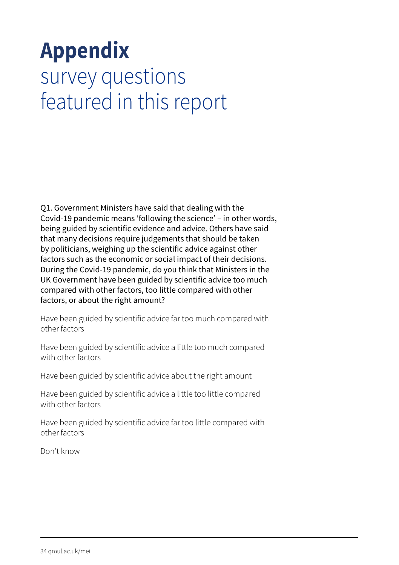# **Appendix** survey questions featured in this report

Q1. Government Ministers have said that dealing with the Covid-19 pandemic means 'following the science' – in other words, being guided by scientific evidence and advice. Others have said that many decisions require judgements that should be taken by politicians, weighing up the scientific advice against other factors such as the economic or social impact of their decisions. During the Covid-19 pandemic, do you think that Ministers in the UK Government have been guided by scientific advice too much compared with other factors, too little compared with other factors, or about the right amount?

Have been guided by scientific advice far too much compared with other factors

Have been guided by scientific advice a little too much compared with other factors

Have been guided by scientific advice about the right amount

Have been guided by scientific advice a little too little compared with other factors

Have been guided by scientific advice far too little compared with other factors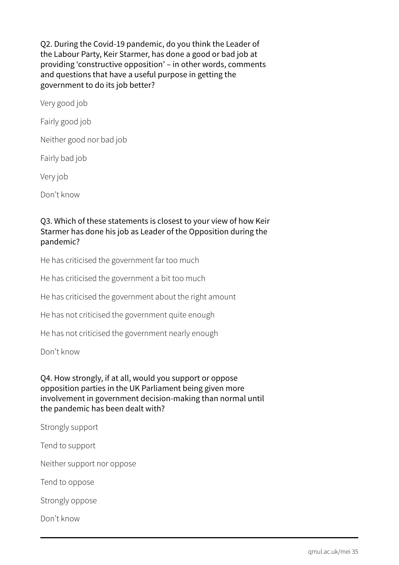Q2. During the Covid-19 pandemic, do you think the Leader of the Labour Party, Keir Starmer, has done a good or bad job at providing 'constructive opposition' – in other words, comments and questions that have a useful purpose in getting the government to do its job better?

Very good job

Fairly good job

Neither good nor bad job

Fairly bad job

Very job

Don't know

#### Q3. Which of these statements is closest to your view of how Keir Starmer has done his job as Leader of the Opposition during the pandemic?

He has criticised the government far too much

He has criticised the government a bit too much

He has criticised the government about the right amount

He has not criticised the government quite enough

He has not criticised the government nearly enough

Don't know

#### Q4. How strongly, if at all, would you support or oppose opposition parties in the UK Parliament being given more involvement in government decision-making than normal until the pandemic has been dealt with?

Strongly support

Tend to support

Neither support nor oppose

Tend to oppose

Strongly oppose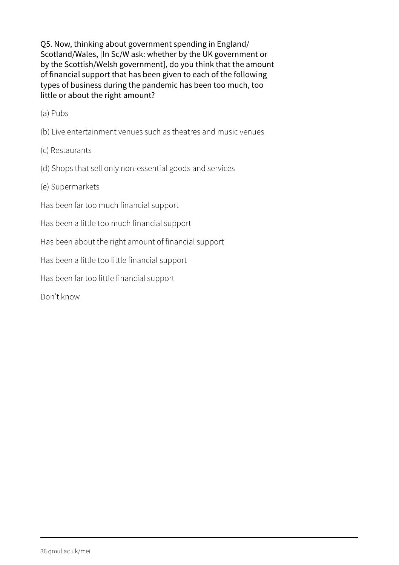Q5. Now, thinking about government spending in England/ Scotland/Wales, [In Sc/W ask: whether by the UK government or by the Scottish/Welsh government], do you think that the amount of financial support that has been given to each of the following types of business during the pandemic has been too much, too little or about the right amount?

(a) Pubs

- (b) Live entertainment venues such as theatres and music venues
- (c) Restaurants
- (d) Shops that sell only non-essential goods and services
- (e) Supermarkets
- Has been far too much financial support
- Has been a little too much financial support
- Has been about the right amount of financial support

Has been a little too little financial support

Has been far too little financial support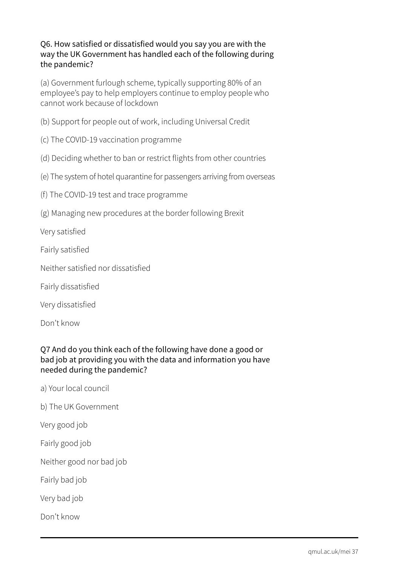#### Q6. How satisfied or dissatisfied would you say you are with the way the UK Government has handled each of the following during the pandemic?

(a) Government furlough scheme, typically supporting 80% of an employee's pay to help employers continue to employ people who cannot work because of lockdown

- (b) Support for people out of work, including Universal Credit
- (c) The COVID-19 vaccination programme
- (d) Deciding whether to ban or restrict flights from other countries
- (e) The system of hotel quarantine for passengers arriving from overseas
- (f) The COVID-19 test and trace programme
- (g) Managing new procedures at the border following Brexit

Very satisfied

- Fairly satisfied
- Neither satisfied nor dissatisfied
- Fairly dissatisfied
- Very dissatisfied

Don't know

#### Q7 And do you think each of the following have done a good or bad job at providing you with the data and information you have needed during the pandemic?

- a) Your local council
- b) The UK Government

Very good job

Fairly good job

Neither good nor bad job

Fairly bad job

Very bad job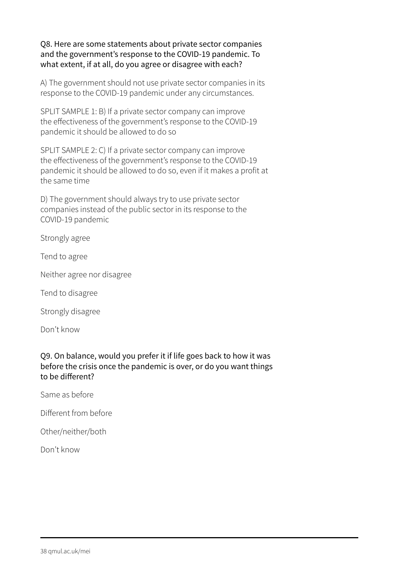Q8. Here are some statements about private sector companies and the government's response to the COVID-19 pandemic. To what extent, if at all, do you agree or disagree with each?

A) The government should not use private sector companies in its response to the COVID-19 pandemic under any circumstances.

SPLIT SAMPLE 1: B) If a private sector company can improve the effectiveness of the government's response to the COVID-19 pandemic it should be allowed to do so

SPLIT SAMPLE 2: C) If a private sector company can improve the effectiveness of the government's response to the COVID-19 pandemic it should be allowed to do so, even if it makes a profit at the same time

D) The government should always try to use private sector companies instead of the public sector in its response to the COVID-19 pandemic

Strongly agree

Tend to agree

Neither agree nor disagree

Tend to disagree

Strongly disagree

Don't know

Q9. On balance, would you prefer it if life goes back to how it was before the crisis once the pandemic is over, or do you want things to be different?

Same as before

Different from before

Other/neither/both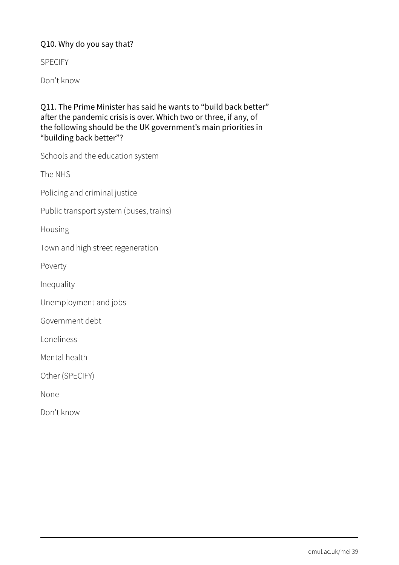#### Q10. Why do you say that?

SPECIFY

Don't know

Q11. The Prime Minister has said he wants to "build back better" after the pandemic crisis is over. Which two or three, if any, of the following should be the UK government's main priorities in "building back better"?

Schools and the education system

The NHS

Policing and criminal justice

Public transport system (buses, trains)

Housing

Town and high street regeneration

Poverty

Inequality

Unemployment and jobs

Government debt

Loneliness

Mental health

Other (SPECIFY)

None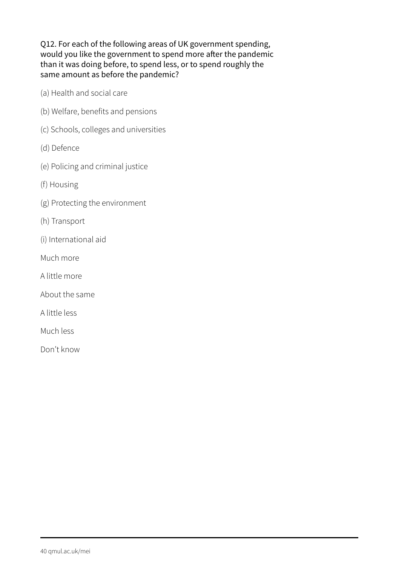Q12. For each of the following areas of UK government spending, would you like the government to spend more after the pandemic than it was doing before, to spend less, or to spend roughly the same amount as before the pandemic?

- (a) Health and social care
- (b) Welfare, benefits and pensions
- (c) Schools, colleges and universities
- (d) Defence
- (e) Policing and criminal justice
- (f) Housing
- (g) Protecting the environment
- (h) Transport
- (i) International aid
- Much more
- A little more
- About the same
- A little less
- Much less
- Don't know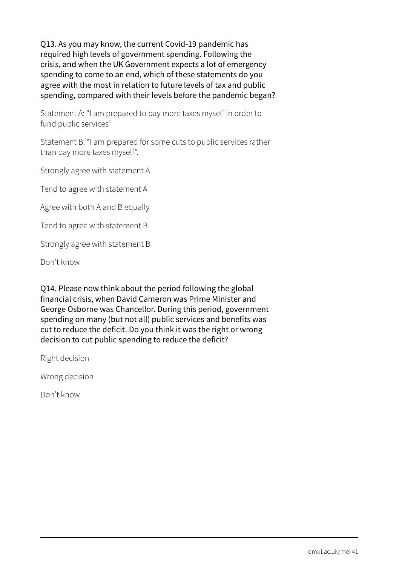Q13. As you may know, the current Covid-19 pandemic has required high levels of government spending. Following the crisis, and when the UK Government expects a lot of emergency spending to come to an end, which of these statements do you agree with the most in relation to future levels of tax and public spending, compared with their levels before the pandemic began?

Statement A: "I am prepared to pay more taxes myself in order to fund public services"

Statement B: "I am prepared for some cuts to public services rather than pay more taxes myself".

Strongly agree with statement A

Tend to agree with statement A

Agree with both A and B equally

Tend to agree with statement B

Strongly agree with statement B

Don't know

Q14. Please now think about the period following the global financial crisis, when David Cameron was Prime Minister and George Osborne was Chancellor. During this period, government spending on many (but not all) public services and benefits was cut to reduce the deficit. Do you think it was the right or wrong decision to cut public spending to reduce the deficit?

Right decision

Wrong decision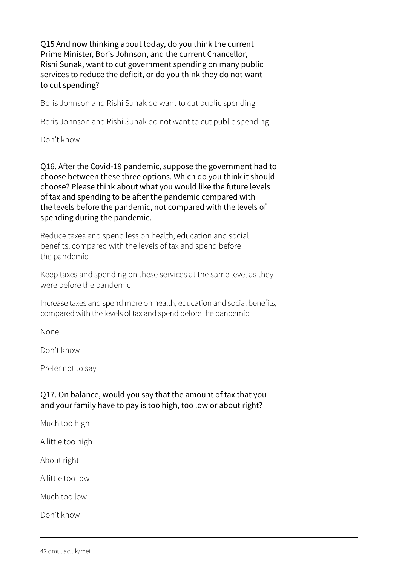Q15 And now thinking about today, do you think the current Prime Minister, Boris Johnson, and the current Chancellor, Rishi Sunak, want to cut government spending on many public services to reduce the deficit, or do you think they do not want to cut spending?

Boris Johnson and Rishi Sunak do want to cut public spending

Boris Johnson and Rishi Sunak do not want to cut public spending

Don't know

Q16. After the Covid-19 pandemic, suppose the government had to choose between these three options. Which do you think it should choose? Please think about what you would like the future levels of tax and spending to be after the pandemic compared with the levels before the pandemic, not compared with the levels of spending during the pandemic.

Reduce taxes and spend less on health, education and social benefits, compared with the levels of tax and spend before the pandemic

Keep taxes and spending on these services at the same level as they were before the pandemic

Increase taxes and spend more on health, education and social benefits, compared with the levels of tax and spend before the pandemic

None

Don't know

Prefer not to say

#### Q17. On balance, would you say that the amount of tax that you and your family have to pay is too high, too low or about right?

Much too high

A little too high

About right

A little too low

Much too low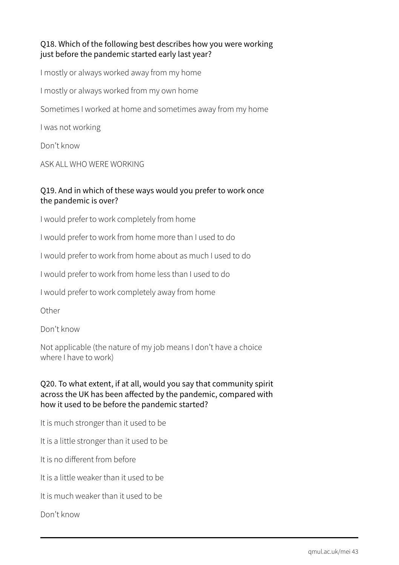#### Q18. Which of the following best describes how you were working just before the pandemic started early last year?

I mostly or always worked away from my home I mostly or always worked from my own home Sometimes I worked at home and sometimes away from my home I was not working Don't know

ASK ALL WHO WERE WORKING

#### Q19. And in which of these ways would you prefer to work once the pandemic is over?

I would prefer to work completely from home

I would prefer to work from home more than I used to do

I would prefer to work from home about as much I used to do

I would prefer to work from home less than I used to do

I would prefer to work completely away from home

**Other** 

Don't know

Not applicable (the nature of my job means I don't have a choice where I have to work)

#### Q20. To what extent, if at all, would you say that community spirit across the UK has been affected by the pandemic, compared with how it used to be before the pandemic started?

It is much stronger than it used to be

It is a little stronger than it used to be

It is no different from before

It is a little weaker than it used to be

It is much weaker than it used to be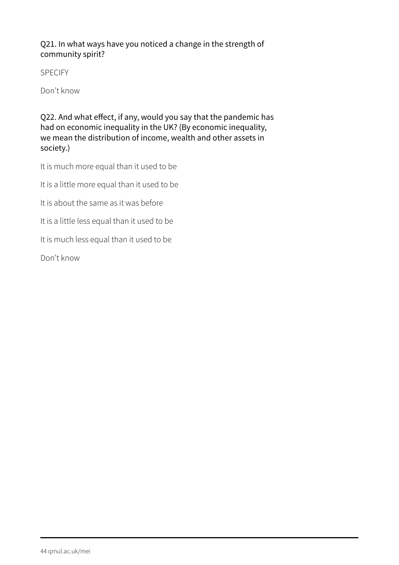#### Q21. In what ways have you noticed a change in the strength of community spirit?

SPECIFY

Don't know

Q22. And what effect, if any, would you say that the pandemic has had on economic inequality in the UK? (By economic inequality, we mean the distribution of income, wealth and other assets in society.)

It is much more equal than it used to be

It is a little more equal than it used to be

It is about the same as it was before

It is a little less equal than it used to be

It is much less equal than it used to be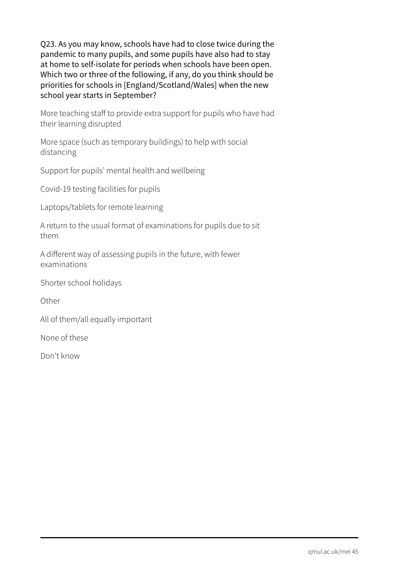Q23. As you may know, schools have had to close twice during the pandemic to many pupils, and some pupils have also had to stay at home to self-isolate for periods when schools have been open. Which two or three of the following, if any, do you think should be priorities for schools in [England/Scotland/Wales] when the new school year starts in September?

More teaching staff to provide extra support for pupils who have had their learning disrupted

More space (such as temporary buildings) to help with social distancing

Support for pupils' mental health and wellbeing

Covid-19 testing facilities for pupils

Laptops/tablets for remote learning

A return to the usual format of examinations for pupils due to sit them

A different way of assessing pupils in the future, with fewer examinations

Shorter school holidays

**Other** 

All of them/all equally important

None of these